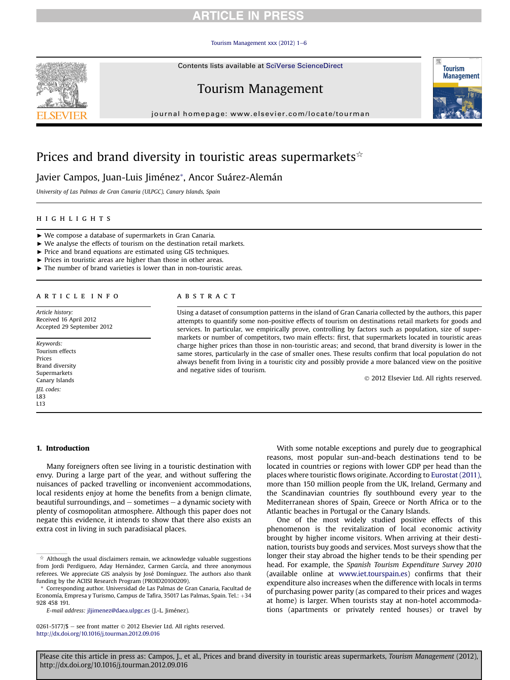## **RTICLE IN PRESS**

### Tourism Management xxx (2012)  $1-6$  $1-6$

Contents lists available at SciVerse ScienceDirect



# Tourism Management

journal homepage: [www.elsevier.com/locate/tourman](http://www.elsevier.com/locate/tourman)

# Prices and brand diversity in touristic areas supermarkets $\dot{\varphi}$

Javier Campos, Juan-Luis Jiménez\*, Ancor Suárez-Alemán

University of Las Palmas de Gran Canaria (ULPGC), Canary Islands, Spain

### **HIGHLIGHTS** highlights are the control of

- $\blacktriangleright$  We compose a database of supermarkets in Gran Canaria.
- $\blacktriangleright$  We analyse the effects of tourism on the destination retail markets.
- $\blacktriangleright$  Price and brand equations are estimated using GIS techniques.
- ▶ Prices in touristic areas are higher than those in other areas.
- $\blacktriangleright$  The number of brand varieties is lower than in non-touristic areas.

Article history: Received 16 April 2012 Accepted 29 September 2012

Keywords: Tourism effects Prices Brand diversity Supermarkets Canary Islands JEL codes: L83 L13

Using a dataset of consumption patterns in the island of Gran Canaria collected by the authors, this paper attempts to quantify some non-positive effects of tourism on destinations retail markets for goods and services. In particular, we empirically prove, controlling by factors such as population, size of supermarkets or number of competitors, two main effects: first, that supermarkets located in touristic areas charge higher prices than those in non-touristic areas; and second, that brand diversity is lower in the same stores, particularly in the case of smaller ones. These results confirm that local population do not always benefit from living in a touristic city and possibly provide a more balanced view on the positive and negative sides of tourism.

2012 Elsevier Ltd. All rights reserved.

**Tourism Management** 

## 1. Introduction

Many foreigners often see living in a touristic destination with envy. During a large part of the year, and without suffering the nuisances of packed travelling or inconvenient accommodations, local residents enjoy at home the benefits from a benign climate, beautiful surroundings, and  $-$  sometimes  $-$  a dynamic society with plenty of cosmopolitan atmosphere. Although this paper does not negate this evidence, it intends to show that there also exists an extra cost in living in such paradisiacal places.

With some notable exceptions and purely due to geographical reasons, most popular sun-and-beach destinations tend to be located in countries or regions with lower GDP per head than the places where touristic flows originate. According to [Eurostat \(2011\),](#page--1-0) more than 150 million people from the UK, Ireland, Germany and the Scandinavian countries fly southbound every year to the Mediterranean shores of Spain, Greece or North Africa or to the Atlantic beaches in Portugal or the Canary Islands.

One of the most widely studied positive effects of this phenomenon is the revitalization of local economic activity brought by higher income visitors. When arriving at their destination, tourists buy goods and services. Most surveys show that the longer their stay abroad the higher tends to be their spending per head. For example, the Spanish Tourism Expenditure Survey 2010 (available online at [www.iet.tourspain.es\)](http://www.iet.tourspain.es) confirms that their expenditure also increases when the difference with locals in terms of purchasing power parity (as compared to their prices and wages at home) is larger. When tourists stay at non-hotel accommodations (apartments or privately rented houses) or travel by

 $\stackrel{\star}{\sim}$  Although the usual disclaimers remain, we acknowledge valuable suggestions from Jordi Perdiguero, Aday Hernández, Carmen García, and three anonymous referees. We appreciate GIS analysis by José Domínguez. The authors also thank funding by the ACIISI Research Program (PROID20100209).

<sup>\*</sup> Corresponding author. Universidad de Las Palmas de Gran Canaria, Facultad de Economía, Empresa y Turismo, Campus de Tafira, 35017 Las Palmas, Spain. Tel.: +34 928 458 191.

E-mail address: [jljimenez@daea.ulpgc.es](mailto:jljimenez@daea.ulpgc.es) (J.-L. Jiménez).

<sup>0261-5177/\$</sup>  $-$  see front matter  $\odot$  2012 Elsevier Ltd. All rights reserved. <http://dx.doi.org/10.1016/j.tourman.2012.09.016>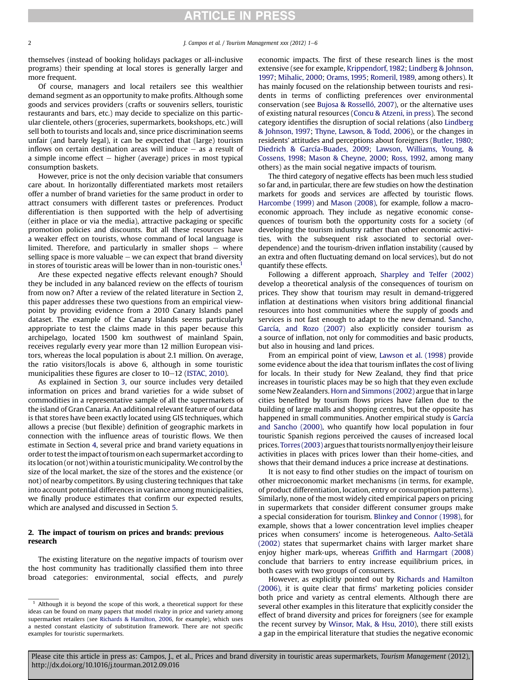## **RTICLE IN PRESS**

themselves (instead of booking holidays packages or all-inclusive programs) their spending at local stores is generally larger and more frequent.

Of course, managers and local retailers see this wealthier demand segment as an opportunity to make profits. Although some goods and services providers (crafts or souvenirs sellers, touristic restaurants and bars, etc.) may decide to specialize on this particular clientele, others (groceries, supermarkets, bookshops, etc.) will sell both to tourists and locals and, since price discrimination seems unfair (and barely legal), it can be expected that (large) tourism inflows on certain destination areas will induce  $-$  as a result of a simple income effect  $-$  higher (average) prices in most typical consumption baskets.

However, price is not the only decision variable that consumers care about. In horizontally differentiated markets most retailers offer a number of brand varieties for the same product in order to attract consumers with different tastes or preferences. Product differentiation is then supported with the help of advertising (either in place or via the media), attractive packaging or specific promotion policies and discounts. But all these resources have a weaker effect on tourists, whose command of local language is limited. Therefore, and particularly in smaller shops  $-$  where selling space is more valuable  $-$  we can expect that brand diversity in stores of touristic areas will be lower than in non-touristic ones.<sup>1</sup>

Are these expected negative effects relevant enough? Should they be included in any balanced review on the effects of tourism from now on? After a review of the related literature in Section 2, this paper addresses these two questions from an empirical viewpoint by providing evidence from a 2010 Canary Islands panel dataset. The example of the Canary Islands seems particularly appropriate to test the claims made in this paper because this archipelago, located 1500 km southwest of mainland Spain, receives regularly every year more than 12 million European visitors, whereas the local population is about 2.1 million. On average, the ratio visitors/locals is above 6, although in some touristic municipalities these figures are closer to  $10-12$  [\(ISTAC, 2010](#page--1-0)).

As explained in Section [3](#page--1-0), our source includes very detailed information on prices and brand varieties for a wide subset of commodities in a representative sample of all the supermarkets of the island of Gran Canaria. An additional relevant feature of our data is that stores have been exactly located using GIS techniques, which allows a precise (but flexible) definition of geographic markets in connection with the influence areas of touristic flows. We then estimate in Section [4](#page--1-0), several price and brand variety equations in order to test the impact of tourism on each supermarket according to its location (or not) within a touristic municipality. We control by the size of the local market, the size of the stores and the existence (or not) of nearby competitors. By using clustering techniques that take into account potential differences in variance among municipalities, we finally produce estimates that confirm our expected results, which are analysed and discussed in Section [5.](#page--1-0)

## 2. The impact of tourism on prices and brands: previous research

The existing literature on the negative impacts of tourism over the host community has traditionally classified them into three broad categories: environmental, social effects, and purely economic impacts. The first of these research lines is the most extensive (see for example, [Krippendorf, 1982;](#page--1-0) [Lindberg & Johnson,](#page--1-0) [1997](#page--1-0); [Mihalic, 2000;](#page--1-0) [Orams, 1995;](#page--1-0) [Romeril, 1989](#page--1-0), among others). It has mainly focused on the relationship between tourists and residents in terms of conflicting preferences over environmental conservation (see [Bujosa & Rosselló, 2007](#page--1-0)), or the alternative uses of existing natural resources [\(Concu & Atzeni, in press](#page--1-0)). The second category identifies the disruption of social relations (also [Lindberg](#page--1-0) [& Johnson, 1997;](#page--1-0) [Thyne, Lawson, & Todd, 2006](#page--1-0)), or the changes in residents' attitudes and perceptions about foreigners ([Butler, 1980](#page--1-0); [Diedrich & García-Buades, 2009](#page--1-0); [Lawson, Williams, Young, &](#page--1-0) [Cossens, 1998;](#page--1-0) [Mason & Cheyne, 2000](#page--1-0); [Ross, 1992](#page--1-0), among many others) as the main social negative impacts of tourism.

The third category of negative effects has been much less studied so far and, in particular, there are few studies on how the destination markets for goods and services are affected by touristic flows. [Harcombe \(1999\)](#page--1-0) and [Mason \(2008\),](#page--1-0) for example, follow a macroeconomic approach. They include as negative economic consequences of tourism both the opportunity costs for a society (of developing the tourism industry rather than other economic activities, with the subsequent risk associated to sectorial overdependence) and the tourism-driven inflation instability (caused by an extra and often fluctuating demand on local services), but do not quantify these effects.

Following a different approach, [Sharpley and Telfer \(2002\)](#page--1-0) develop a theoretical analysis of the consequences of tourism on prices. They show that tourism may result in demand-triggered inflation at destinations when visitors bring additional financial resources into host communities where the supply of goods and services is not fast enough to adapt to the new demand. [Sancho,](#page--1-0) [García, and Rozo \(2007\)](#page--1-0) also explicitly consider tourism as a source of inflation, not only for commodities and basic products, but also in housing and land prices.

From an empirical point of view, [Lawson et al. \(1998\)](#page--1-0) provide some evidence about the idea that tourism inflates the cost of living for locals. In their study for New Zealand, they find that price increases in touristic places may be so high that they even exclude some New Zealanders. [Horn and Simmons \(2002\)](#page--1-0) argue that in large cities benefited by tourism flows prices have fallen due to the building of large malls and shopping centres, but the opposite has happened in small communities. Another empirical study is [García](#page--1-0) [and Sancho \(2000\),](#page--1-0) who quantify how local population in four touristic Spanish regions perceived the causes of increased local prices. [Torres \(2003\)](#page--1-0) argues that tourists normally enjoy theirleisure activities in places with prices lower than their home-cities, and shows that their demand induces a price increase at destinations.

It is not easy to find other studies on the impact of tourism on other microeconomic market mechanisms (in terms, for example, of product differentiation, location, entry or consumption patterns). Similarly, none of the most widely cited empirical papers on pricing in supermarkets that consider different consumer groups make a special consideration for tourism. [Blinkey and Connor \(1998\),](#page--1-0) for example, shows that a lower concentration level implies cheaper prices when consumers' income is heterogeneous. [Aalto-Setälä](#page--1-0) [\(2002\)](#page--1-0) states that supermarket chains with larger market share enjoy higher mark-ups, whereas Griffi[th and Harmgart \(2008\)](#page--1-0) conclude that barriers to entry increase equilibrium prices, in both cases with two groups of consumers.

However, as explicitly pointed out by [Richards and Hamilton](#page--1-0) [\(2006\)](#page--1-0), it is quite clear that firms' marketing policies consider both price and variety as central elements. Although there are several other examples in this literature that explicitly consider the effect of brand diversity and prices for foreigners (see for example the recent survey by [Winsor, Mak, & Hsu, 2010\)](#page--1-0), there still exists a gap in the empirical literature that studies the negative economic

 $1$  Although it is beyond the scope of this work, a theoretical support for these ideas can be found on many papers that model rivalry in price and variety among supermarket retailers (see [Richards & Hamilton, 2006](#page--1-0), for example), which uses a nested constant elasticity of substitution framework. There are not specific examples for touristic supermarkets.